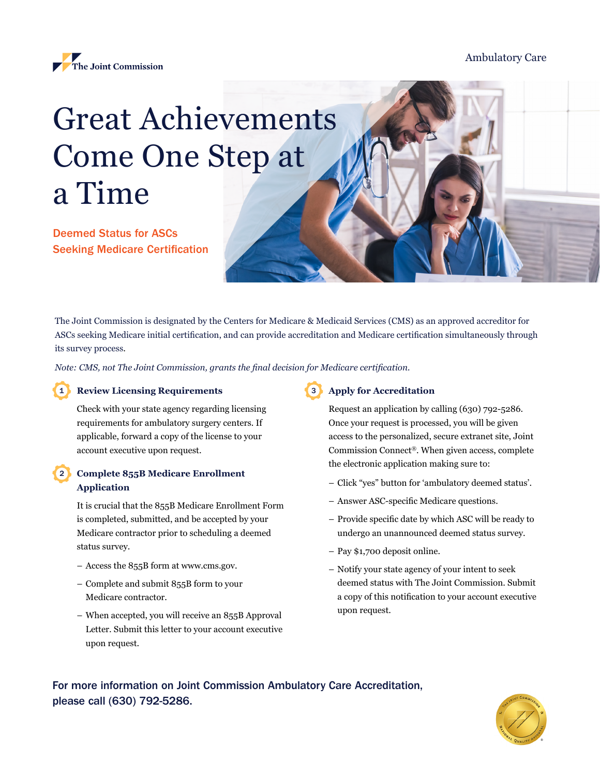

# Ambulatory Care

# Great Achievements Come One Step at a Time

Deemed Status for ASCs Seeking Medicare Certification

The Joint Commission is designated by the Centers for Medicare & Medicaid Services (CMS) as an approved accreditor for ASCs seeking Medicare initial certification, and can provide accreditation and Medicare certification simultaneously through its survey process.

*Note: CMS, not The Joint Commission, grants the final decision for Medicare certification.*

#### **Review Licensing Requirements** 1

2

Check with your state agency regarding licensing requirements for ambulatory surgery centers. If applicable, forward a copy of the license to your account executive upon request.

## **Complete 855B Medicare Enrollment Application**

It is crucial that the 855B Medicare Enrollment Form is completed, submitted, and be accepted by your Medicare contractor prior to scheduling a deemed status survey.

- Access the 855B form at [www.cms.gov.](http://www.cms.gov)
- Complete and submit 855B form to your Medicare contractor.
- When accepted, you will receive an 855B Approval Letter. Submit this letter to your account executive upon request.

# **Apply for Accreditation** 3

Request an application by calling (630) 792-5286. Once your request is processed, you will be given access to the personalized, secure extranet site, Joint Commission Connect®. When given access, complete the electronic application making sure to:

- Click "yes" button for 'ambulatory deemed status'.
- Answer ASC-specific Medicare questions.
- Provide specific date by which ASC will be ready to undergo an unannounced deemed status survey.
- Pay \$1,700 deposit online.
- Notify your state agency of your intent to seek deemed status with The Joint Commission. Submit a copy of this notification to your account executive upon request.

For more information on Joint Commission Ambulatory Care Accreditation, please call (630) 792-5286.